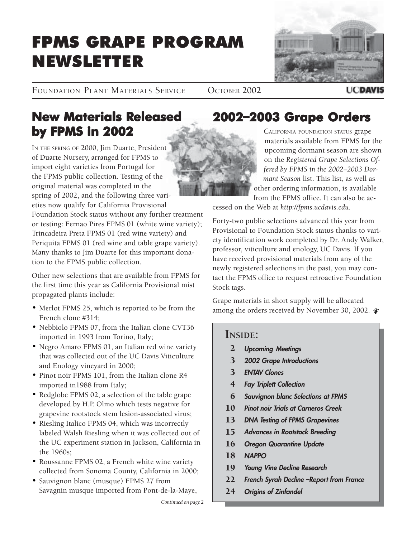# FPMS GRAPE PROGRAM NEWSLETTER



FOUNDATION PLANT MATERIALS SERVICE OCTOBER 2002

### **UCDAVIS**

# **New Materials Released by FPMS in 2002**

IN THE SPRING OF 2000, Jim Duarte, President of Duarte Nursery, arranged for FPMS to import eight varieties from Portugal for the FPMS public collection. Testing of the original material was completed in the spring of 2002, and the following three varieties now qualify for California Provisional Foundation Stock status without any further treatment or testing: Fernao Pires FPMS 01 (white wine variety); Trincadeira Preta FPMS 01 (red wine variety) and Periquita FPMS 01 (red wine and table grape variety). Many thanks to Jim Duarte for this important donation to the FPMS public collection.

Other new selections that are available from FPMS for the first time this year as California Provisional mist propagated plants include:

- Merlot FPMS 25, which is reported to be from the French clone #314;
- Nebbiolo FPMS 07, from the Italian clone CVT36 imported in 1993 from Torino, Italy;
- Negro Amaro FPMS 01, an Italian red wine variety that was collected out of the UC Davis Viticulture and Enology vineyard in 2000;
- Pinot noir FPMS 101, from the Italian clone R4 imported in1988 from Italy;
- Redglobe FPMS 02, a selection of the table grape developed by H.P. Olmo which tests negative for grapevine rootstock stem lesion-associated virus;
- Riesling Italico FPMS 04, which was incorrectly labeled Walsh Riesling when it was collected out of the UC experiment station in Jackson, California in the 1960s;
- Roussanne FPMS 02, a French white wine variety collected from Sonoma County, California in 2000;
- Sauvignon blanc (musque) FPMS 27 from Savagnin musque imported from Pont-de-la-Maye,

# **2002ñ2003 Grape Orders 2003 Grape Orders**

CALIFORNIA FOUNDATION STATUS grape materials available from FPMS for the upcoming dormant season are shown on the *Registered Grape Selections Offered by FPMS in the 2002–2003 Dormant Season* list. This list, as well as other ordering information, is available

from the FPMS office. It can also be accessed on the Web at *http://fpms.ucdavis.edu.*

Forty-two public selections advanced this year from Provisional to Foundation Stock status thanks to variety identification work completed by Dr. Andy Walker, professor, viticulture and enology, UC Davis. If you have received provisional materials from any of the newly registered selections in the past, you may contact the FPMS office to request retroactive Foundation Stock tags.

Grape materials in short supply will be allocated among the orders received by November 30, 2002.

### **INSIDE:**

- **Upcoming Meetings** 2
- **2002 Grape Introductions** 3
- **ENTAV Clones** 3
- **Fay Triplett Collection** 4
- **Sauvignon blanc Selections at FPMS** 6
- **Pinot noir Trials at Carneros Creek** 10
- **DNA Testing of FPMS Grapevines** 13
- **Advances in Rootstock Breeding** 15
- **Oregon Quarantine Update** 16
- **NAPPO** 18
- **Young Vine Decline Research** 19
- **French Syrah Decline –Report from France** 22
- **Origins of Zinfandel** 24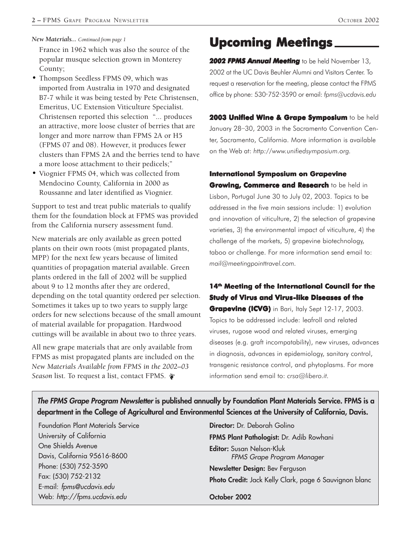France in 1962 which was also the source of the popular musque selection grown in Monterey County;

- Thompson Seedless FPMS 09, which was imported from Australia in 1970 and designated B7-7 while it was being tested by Pete Christensen, Emeritus, UC Extension Viticulture Specialist. Christensen reported this selection "... produces an attractive, more loose cluster of berries that are longer and more narrow than FPMS 2A or H5 (FPMS 07 and 08). However, it produces fewer clusters than FPMS 2A and the berries tend to have a more loose attachment to their pedicels;"
- Viognier FPMS 04, which was collected from Mendocino County, California in 2000 as Roussanne and later identified as Viognier.

Support to test and treat public materials to qualify them for the foundation block at FPMS was provided from the California nursery assessment fund.

New materials are only available as green potted plants on their own roots (mist propagated plants, MPP) for the next few years because of limited quantities of propagation material available. Green plants ordered in the fall of 2002 will be supplied about 9 to 12 months after they are ordered, depending on the total quantity ordered per selection. Sometimes it takes up to two years to supply large orders for new selections because of the small amount of material available for propagation. Hardwood cuttings will be available in about two to three years.

All new grape materials that are only available from FPMS as mist propagated plants are included on the *New Materials Available from FPMS in the 2002–03 Season* list. To request a list, contact FPMS.

# *New Materials... Continued from page 1* **Upcoming Meetings Upcoming Meetings**

*2002 FPMS Annual Meeting* to be held November 13, 2002 at the UC Davis Beuhler Alumni and Visitors Center. To request a reservation for the meeting, please contact the FPMS office by phone: 530-752-3590 or email: *fpms@ucdavis.edu*

**2003 Unified Wine & Grape Symposium** to be held January 28-30, 2003 in the Sacramento Convention Center, Sacramento, California. More information is available on the Web at: *http://www.unifiedsymposium.org.*

#### **International Symposium on Grapevine**

**Growing, Commerce and Research** to be held in Lisbon, Portugal June 30 to July 02, 2003. Topics to be addressed in the five main sessions include: 1) evolution and innovation of viticulture, 2) the selection of grapevine varieties, 3) the environmental impact of viticulture, 4) the challenge of the markets, 5) grapevine biotechnology, taboo or challenge. For more information send email to: *mail@meetingpointtravel.com.*

### **14th Meeting of the International Council for the Study of Virus and Virus-like Diseases of the Grapevine (ICVG)** in Bari, Italy Sept 12-17, 2003. Topics to be addressed include: leafroll and related viruses, rugose wood and related viruses, emerging diseases (e.g. graft incompatability), new viruses, advances in diagnosis, advances in epidemiology, sanitary control, transgenic resistance control, and phytoplasms. For more information send email to: *crsa@libero.it.*

**The FPMS Grape Program Newsletter is published annually by Foundation Plant Materials Service. FPMS is a department in the College of Agricultural and Environmental Sciences at the University of California, Davis.**

Foundation Plant Materials Service University of California One Shields Avenue Davis, California 95616-8600 Phone: (530) 752-3590 Fax: (530) 752-2132 E-mail: fpms@ucdavis.edu Web: http://fpms.ucdavis.edu

**Director:** Dr. Deborah Golino **FPMS Plant Pathologist:** Dr. Adib Rowhani **Editor:** Susan Nelson-Kluk FPMS Grape Program Manager **Newsletter Design:** Bev Ferguson **Photo Credit:** Jack Kelly Clark, page 6 Sauvignon blanc **October 2002**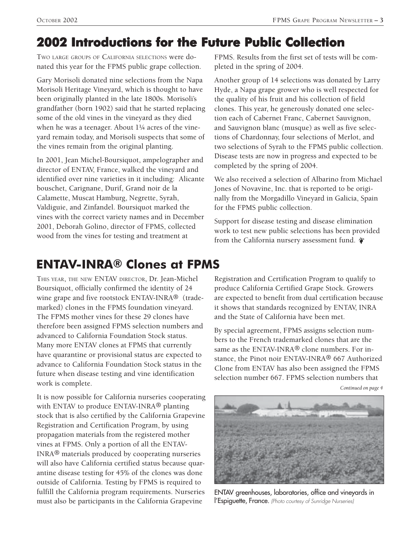# **2002 Introductions for the Future Public Collection**

TWO LARGE GROUPS OF CALIFORNIA SELECTIONS were donated this year for the FPMS public grape collection.

Gary Morisoli donated nine selections from the Napa Morisoli Heritage Vineyard, which is thought to have been originally planted in the late 1800s. Morisoli's grandfather (born 1902) said that he started replacing some of the old vines in the vineyard as they died when he was a teenager. About 1¼ acres of the vineyard remain today, and Morisoli suspects that some of the vines remain from the original planting.

In 2001, Jean Michel-Boursiquot, ampelographer and director of ENTAV, France, walked the vineyard and identified over nine varieties in it including: Alicante bouschet, Carignane, Durif, Grand noir de la Calamette, Muscat Hamburg, Negrette, Syrah, Valdiguie, and Zinfandel. Boursiquot marked the vines with the correct variety names and in December 2001, Deborah Golino, director of FPMS, collected wood from the vines for testing and treatment at

FPMS. Results from the first set of tests will be completed in the spring of 2004.

Another group of 14 selections was donated by Larry Hyde, a Napa grape grower who is well respected for the quality of his fruit and his collection of field clones. This year, he generously donated one selection each of Cabernet Franc, Cabernet Sauvignon, and Sauvignon blanc (musque) as well as five selections of Chardonnay, four selections of Merlot, and two selections of Syrah to the FPMS public collection. Disease tests are now in progress and expected to be completed by the spring of 2004.

We also received a selection of Albarino from Michael Jones of Novavine, Inc. that is reported to be originally from the Morgadillo Vineyard in Galicia, Spain for the FPMS public collection.

Support for disease testing and disease elimination work to test new public selections has been provided from the California nursery assessment fund.

# **ENTAV-INRAÆ Clones at FPMS**

THIS YEAR, THE NEW ENTAV DIRECTOR, Dr. Jean-Michel Boursiquot, officially confirmed the identity of 24 wine grape and five rootstock ENTAV-INRA® (trademarked) clones in the FPMS foundation vineyard. The FPMS mother vines for these 29 clones have therefore been assigned FPMS selection numbers and advanced to California Foundation Stock status. Many more ENTAV clones at FPMS that currently have quarantine or provisional status are expected to advance to California Foundation Stock status in the future when disease testing and vine identification work is complete.

It is now possible for California nurseries cooperating with ENTAV to produce ENTAV-INRA® planting stock that is also certified by the California Grapevine Registration and Certification Program, by using propagation materials from the registered mother vines at FPMS. Only a portion of all the ENTAV-INRA® materials produced by cooperating nurseries will also have California certified status because quarantine disease testing for 45% of the clones was done outside of California. Testing by FPMS is required to fulfill the California program requirements. Nurseries must also be participants in the California Grapevine

Registration and Certification Program to qualify to produce California Certified Grape Stock. Growers are expected to benefit from dual certification because it shows that standards recognized by ENTAV, INRA and the State of California have been met.

By special agreement, FPMS assigns selection numbers to the French trademarked clones that are the same as the ENTAV-INRA® clone numbers. For instance, the Pinot noir ENTAV-INRA® 667 Authorized Clone from ENTAV has also been assigned the FPMS selection number 667. FPMS selection numbers that

*Continued on page 4*



ENTAV greenhouses, laboratories, office and vineyards in l'Espiguette, France. (Photo courtesy of Sunridge Nurseries)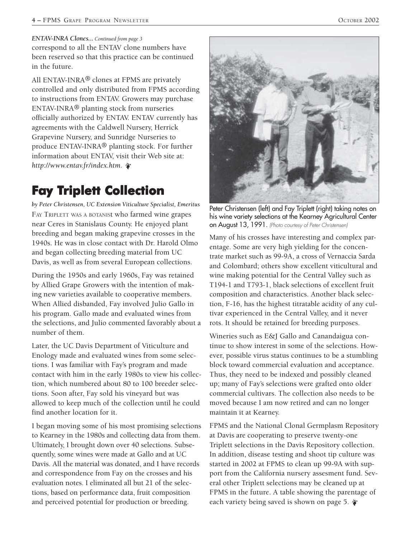#### *ENTAV-INRA Clones... Continued from page 3*

correspond to all the ENTAV clone numbers have been reserved so that this practice can be continued in the future.

All ENTAV-INRA® clones at FPMS are privately controlled and only distributed from FPMS according to instructions from ENTAV. Growers may purchase ENTAV-INRA® planting stock from nurseries officially authorized by ENTAV. ENTAV currently has agreements with the Caldwell Nursery, Herrick Grapevine Nursery, and Sunridge Nurseries to produce ENTAV-INRA® planting stock. For further information about ENTAV, visit their Web site at: *http://www.entav.fr/index.htm.*

# **Fay Triplett Collection**

*by Peter Christensen, UC Extension Viticulture Specialist, Emeritus* FAY TRIPLETT WAS A BOTANISt who farmed wine grapes near Ceres in Stanislaus County. He enjoyed plant breeding and began making grapevine crosses in the 1940s. He was in close contact with Dr. Harold Olmo and began collecting breeding material from UC Davis, as well as from several European collections.

During the 1950s and early 1960s, Fay was retained by Allied Grape Growers with the intention of making new varieties available to cooperative members. When Allied disbanded, Fay involved Julio Gallo in his program. Gallo made and evaluated wines from the selections, and Julio commented favorably about a number of them.

Later, the UC Davis Department of Viticulture and Enology made and evaluated wines from some selections. I was familiar with Fay's program and made contact with him in the early 1980s to view his collection, which numbered about 80 to 100 breeder selections. Soon after, Fay sold his vineyard but was allowed to keep much of the collection until he could find another location for it.

I began moving some of his most promising selections to Kearney in the 1980s and collecting data from them. Ultimately, I brought down over 40 selections. Subsequently, some wines were made at Gallo and at UC Davis. All the material was donated, and I have records and correspondence from Fay on the crosses and his evaluation notes. I eliminated all but 21 of the selections, based on performance data, fruit composition and perceived potential for production or breeding.



Peter Christensen (left) and Fay Triplett (right) taking notes on his wine variety selections at the Kearney Agricultural Center on August 13, 1991. (Photo courtesy of Peter Christensen)

Many of his crosses have interesting and complex parentage. Some are very high yielding for the concentrate market such as 99-9A, a cross of Vernaccia Sarda and Colombard; others show excellent viticultural and wine making potential for the Central Valley such as T194-1 and T793-1, black selections of excellent fruit composition and characteristics. Another black selection, F-16, has the highest titratable acidity of any cultivar experienced in the Central Valley, and it never rots. It should be retained for breeding purposes.

Wineries such as E&J Gallo and Canandaigua continue to show interest in some of the selections. However, possible virus status continues to be a stumbling block toward commercial evaluation and acceptance. Thus, they need to be indexed and possibly cleaned up; many of Fay's selections were grafted onto older commercial cultivars. The collection also needs to be moved because I am now retired and can no longer maintain it at Kearney.

FPMS and the National Clonal Germplasm Repository at Davis are cooperating to preserve twenty-one Triplett selections in the Davis Repository collection. In addition, disease testing and shoot tip culture was started in 2002 at FPMS to clean up 99-9A with support from the California nursery assesment fund. Several other Triplett selections may be cleaned up at FPMS in the future. A table showing the parentage of each variety being saved is shown on page 5.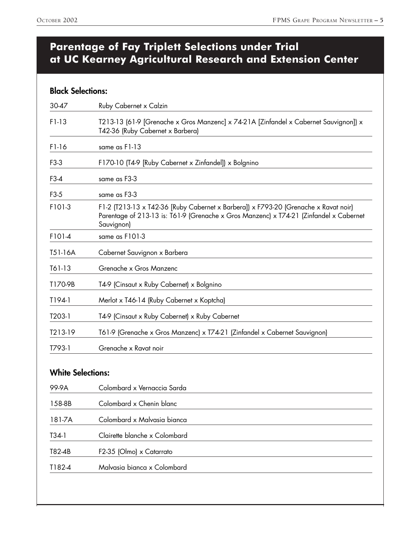### **Parentage of Fay Triplett Selections under Trial at UC Kearney Agricultural Research and Extension Center**

### **Black Selections:**

| 30-47               | Ruby Cabernet x Calzin                                                                                                                                                                      |  |
|---------------------|---------------------------------------------------------------------------------------------------------------------------------------------------------------------------------------------|--|
| F1-13               | T213-13 (61-9 [Grenache x Gros Manzenc] x 74-21A [Zinfandel x Cabernet Sauvignon]) x<br>T42-36 (Ruby Cabernet x Barbera)                                                                    |  |
| $F1-16$             | same as F1-13                                                                                                                                                                               |  |
| F3-3                | F170-10 (T4-9 [Ruby Cabernet x Zinfandel]) x Bolgnino                                                                                                                                       |  |
| $F3-4$              | same as F3-3                                                                                                                                                                                |  |
| F <sub>3</sub> -5   | same as F3-3                                                                                                                                                                                |  |
| F101-3              | F1-2 (T213-13 x T42-36 [Ruby Cabernet x Barbera]) x F793-20 (Grenache x Ravat noir)<br>Parentage of 213-13 is: T61-9 (Grenache x Gros Manzenc) x T74-21 (Zinfandel x Cabernet<br>Sauvignon) |  |
| F101-4              | same as F101-3                                                                                                                                                                              |  |
| T51-16A             | Cabernet Sauvignon x Barbera                                                                                                                                                                |  |
| T61-13              | Grenache x Gros Manzenc                                                                                                                                                                     |  |
| T170-9B             | T4-9 (Cinsaut x Ruby Cabernet) x Bolgnino                                                                                                                                                   |  |
| T194-1              | Merlot x T46-14 (Ruby Cabernet x Koptcha)                                                                                                                                                   |  |
| T <sub>203</sub> -1 | T4-9 (Cinsaut x Ruby Cabernet) x Ruby Cabernet                                                                                                                                              |  |
| T213-19             | T61-9 (Grenache x Gros Manzenc) x T74-21 (Zinfandel x Cabernet Sauvignon)                                                                                                                   |  |
| T793-1              | Grenache x Ravat noir                                                                                                                                                                       |  |

### **White Selections:**

| 99-9A  | Colombard x Vernaccia Sarda   |
|--------|-------------------------------|
| 158-8B | Colombard x Chenin blanc      |
| 181-7A | Colombard x Malvasia bianca   |
| T34-1  | Clairette blanche x Colombard |
| T82-4B | F2-35 (Olmo) x Catarrato      |
| T182-4 | Malvasia bianca x Colombard   |
|        |                               |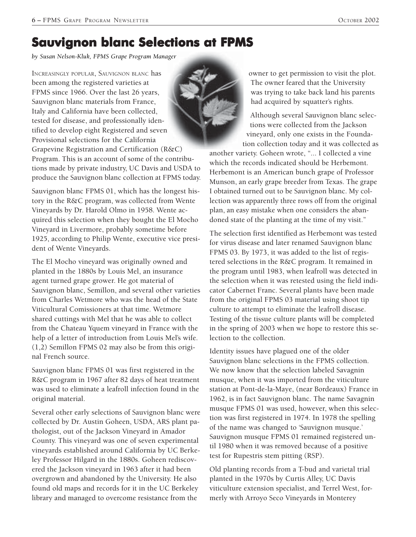# **Sauvignon blanc Selections at FPMS blanc Selections FPMS**

*by Susan Nelson-Kluk, FPMS Grape Program Manager*

INCREASINGLY POPULAR, SAUVIGNON BLANC has been among the registered varieties at FPMS since 1966. Over the last 26 years, Sauvignon blanc materials from France, Italy and California have been collected, tested for disease, and professionally identified to develop eight Registered and seven Provisional selections for the California Grapevine Registration and Certification (R&C) Program. This is an account of some of the contributions made by private industry, UC Davis and USDA to produce the Sauvignon blanc collection at FPMS today.

Sauvignon blanc FPMS 01, which has the longest history in the R&C program, was collected from Wente Vineyards by Dr. Harold Olmo in 1958. Wente acquired this selection when they bought the El Mocho Vineyard in Livermore, probably sometime before 1925, according to Philip Wente, executive vice president of Wente Vineyards.

The El Mocho vineyard was originally owned and planted in the 1880s by Louis Mel, an insurance agent turned grape grower. He got material of Sauvignon blanc, Semillon, and several other varieties from Charles Wetmore who was the head of the State Viticultural Comissioners at that time. Wetmore shared cuttings with Mel that he was able to collect from the Chateau Yquem vineyard in France with the help of a letter of introduction from Louis Mel's wife. (1,2) Semillon FPMS 02 may also be from this original French source.

Sauvignon blanc FPMS 01 was first registered in the R&C program in 1967 after 82 days of heat treatment was used to eliminate a leafroll infection found in the original material.

Several other early selections of Sauvignon blanc were collected by Dr. Austin Goheen, USDA, ARS plant pathologist, out of the Jackson Vineyard in Amador County. This vineyard was one of seven experimental vineyards established around California by UC Berkeley Professor Hilgard in the 1880s. Goheen rediscovered the Jackson vineyard in 1963 after it had been overgrown and abandoned by the University. He also found old maps and records for it in the UC Berkeley library and managed to overcome resistance from the

owner to get permission to visit the plot. The owner feared that the University was trying to take back land his parents had acquired by squatter's rights.

Although several Sauvignon blanc selections were collected from the Jackson vineyard, only one exists in the Foundation collection today and it was collected as

another variety. Goheen wrote, "... I collected a vine which the records indicated should be Herbemont. Herbemont is an American bunch grape of Professor Munson, an early grape breeder from Texas. The grape I obtained turned out to be Sauvignon blanc. My collection was apparently three rows off from the original plan, an easy mistake when one considers the abandoned state of the planting at the time of my visit."

The selection first identified as Herbemont was tested for virus disease and later renamed Sauvignon blanc FPMS 03. By 1973, it was added to the list of registered selections in the R&C program. It remained in the program until 1983, when leafroll was detected in the selection when it was retested using the field indicator Cabernet Franc. Several plants have been made from the original FPMS 03 material using shoot tip culture to attempt to eliminate the leafroll disease. Testing of the tissue culture plants will be completed in the spring of 2003 when we hope to restore this selection to the collection.

Identity issues have plagued one of the older Sauvignon blanc selections in the FPMS collection. We now know that the selection labeled Savagnin musque, when it was imported from the viticulture station at Pont-de-la-Maye, (near Bordeaux) France in 1962, is in fact Sauvignon blanc. The name Savagnin musque FPMS 01 was used, however, when this selection was first registered in 1974. In 1978 the spelling of the name was changed to 'Sauvignon musque.' Sauvignon musque FPMS 01 remained registered until 1980 when it was removed because of a positive test for Rupestris stem pitting (RSP).

Old planting records from a T-bud and varietal trial planted in the 1970s by Curtis Alley, UC Davis viticulture extension specialist, and Terrel West, formerly with Arroyo Seco Vineyards in Monterey

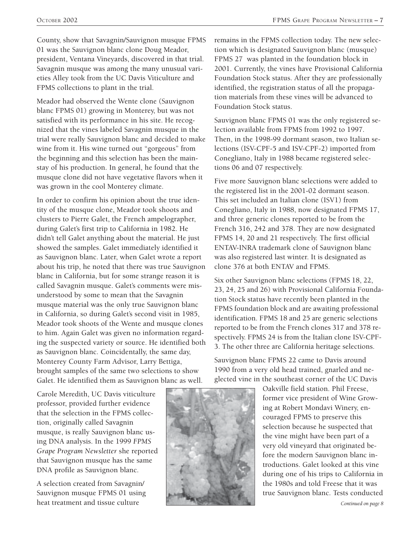County, show that Savagnin/Sauvignon musque FPMS 01 was the Sauvignon blanc clone Doug Meador, president, Ventana Vineyards, discovered in that trial. Savagnin musque was among the many unusual varieties Alley took from the UC Davis Viticulture and FPMS collections to plant in the trial.

Meador had observed the Wente clone (Sauvignon blanc FPMS 01) growing in Monterey, but was not satisfied with its performance in his site. He recognized that the vines labeled Savagnin musque in the trial were really Sauvignon blanc and decided to make wine from it. His wine turned out "gorgeous" from the beginning and this selection has been the mainstay of his production. In general, he found that the musque clone did not have vegetative flavors when it was grown in the cool Monterey climate.

In order to confirm his opinion about the true identity of the musque clone, Meador took shoots and clusters to Pierre Galet, the French ampelographer, during Galet's first trip to California in 1982. He didn't tell Galet anything about the material. He just showed the samples. Galet immediately identified it as Sauvignon blanc. Later, when Galet wrote a report about his trip, he noted that there was true Sauvignon blanc in California, but for some strange reason it is called Savagnin musque. Galet's comments were misunderstood by some to mean that the Savagnin musque material was the only true Sauvignon blanc in California, so during Galet's second visit in 1985, Meador took shoots of the Wente and musque clones to him. Again Galet was given no information regarding the suspected variety or source. He identified both as Sauvignon blanc. Coincidentally, the same day, Monterey County Farm Advisor, Larry Bettiga, brought samples of the same two selections to show Galet. He identified them as Sauvignon blanc as well.

Carole Meredith, UC Davis viticulture professor, provided further evidence that the selection in the FPMS collection, originally called Savagnin musque, is really Sauvignon blanc using DNA analysis. In the 1999 *FPMS Grape Program Newsletter* she reported that Sauvignon musque has the same DNA profile as Sauvignon blanc.

A selection created from Savagnin/ Sauvignon musque FPMS 01 using heat treatment and tissue culture

remains in the FPMS collection today. The new selection which is designated Sauvignon blanc (musque) FPMS 27 was planted in the foundation block in 2001. Currently, the vines have Provisional California Foundation Stock status. After they are professionally identified, the registration status of all the propagation materials from these vines will be advanced to Foundation Stock status.

Sauvignon blanc FPMS 01 was the only registered selection available from FPMS from 1992 to 1997. Then, in the 1998-99 dormant season, two Italian selections (ISV-CPF-5 and ISV-CPF-2) imported from Conegliano, Italy in 1988 became registered selections 06 and 07 respectively.

Five more Sauvignon blanc selections were added to the registered list in the 2001-02 dormant season. This set included an Italian clone (ISV1) from Conegliano, Italy in 1988, now designated FPMS 17, and three generic clones reported to be from the French 316, 242 and 378. They are now designated FPMS 14, 20 and 21 respectively. The first official ENTAV-INRA trademark clone of Sauvignon blanc was also registered last winter. It is designated as clone 376 at both ENTAV and FPMS.

Six other Sauvignon blanc selections (FPMS 18, 22, 23, 24, 25 and 26) with Provisional California Foundation Stock status have recently been planted in the FPMS foundation block and are awaiting professional identification. FPMS 18 and 25 are generic selections reported to be from the French clones 317 and 378 respectively. FPMS 24 is from the Italian clone ISV-CPF-3. The other three are California heritage selections.

Sauvignon blanc FPMS 22 came to Davis around 1990 from a very old head trained, gnarled and neglected vine in the southeast corner of the UC Davis

> Oakville field station. Phil Freese, former vice president of Wine Growing at Robert Mondavi Winery, encouraged FPMS to preserve this selection because he suspected that the vine might have been part of a very old vineyard that originated before the modern Sauvignon blanc introductions. Galet looked at this vine during one of his trips to California in the 1980s and told Freese that it was true Sauvignon blanc. Tests conducted

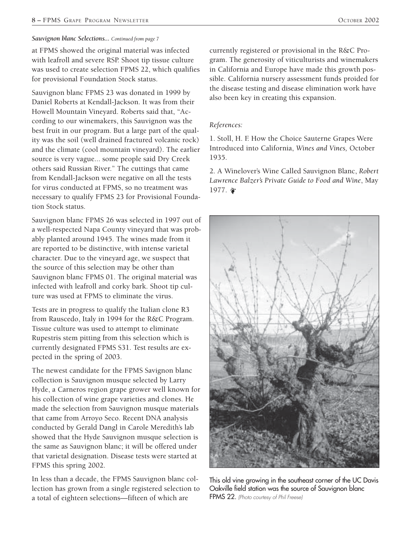#### *Sauvignon blanc Selections... Continued from page 7*

at FPMS showed the original material was infected with leafroll and severe RSP. Shoot tip tissue culture was used to create selection FPMS 22, which qualifies for provisional Foundation Stock status.

Sauvignon blanc FPMS 23 was donated in 1999 by Daniel Roberts at Kendall-Jackson. It was from their Howell Mountain Vineyard. Roberts said that, "According to our winemakers, this Sauvignon was the best fruit in our program. But a large part of the quality was the soil (well drained fractured volcanic rock) and the climate (cool mountain vineyard). The earlier source is very vague... some people said Dry Creek others said Russian River." The cuttings that came from Kendall-Jackson were negative on all the tests for virus conducted at FPMS, so no treatment was necessary to qualify FPMS 23 for Provisional Foundation Stock status.

Sauvignon blanc FPMS 26 was selected in 1997 out of a well-respected Napa County vineyard that was probably planted around 1945. The wines made from it are reported to be distinctive, with intense varietal character. Due to the vineyard age, we suspect that the source of this selection may be other than Sauvignon blanc FPMS 01. The original material was infected with leafroll and corky bark. Shoot tip culture was used at FPMS to eliminate the virus.

Tests are in progress to qualify the Italian clone R3 from Rauscedo, Italy in 1994 for the R&C Program. Tissue culture was used to attempt to eliminate Rupestris stem pitting from this selection which is currently designated FPMS S31. Test results are expected in the spring of 2003.

The newest candidate for the FPMS Savignon blanc collection is Sauvignon musque selected by Larry Hyde, a Carneros region grape grower well known for his collection of wine grape varieties and clones. He made the selection from Sauvignon musque materials that came from Arroyo Seco. Recent DNA analysis conducted by Gerald Dangl in Carole Meredith's lab showed that the Hyde Sauvignon musque selection is the same as Sauvignon blanc; it will be offered under that varietal designation. Disease tests were started at FPMS this spring 2002.

In less than a decade, the FPMS Sauvignon blanc collection has grown from a single registered selection to a total of eighteen selections—fifteen of which are

currently registered or provisional in the R&C Program. The generosity of viticulturists and winemakers in California and Europe have made this growth possible. California nursery assessment funds proided for the disease testing and disease elimination work have also been key in creating this expansion.

#### *References:*

1. Stoll, H. F. How the Choice Sauterne Grapes Were Introduced into California, *Wines and Vines,* October 1935.

2. A Winelover's Wine Called Sauvignon Blanc, *Robert Lawrence Balzer's Private Guide to Food and Wine*, May 1977. 拿



This old vine growing in the southeast corner of the UC Davis Oakville field station was the source of Sauvignon blanc FPMS 22. (Photo courtesy of Phil Freese)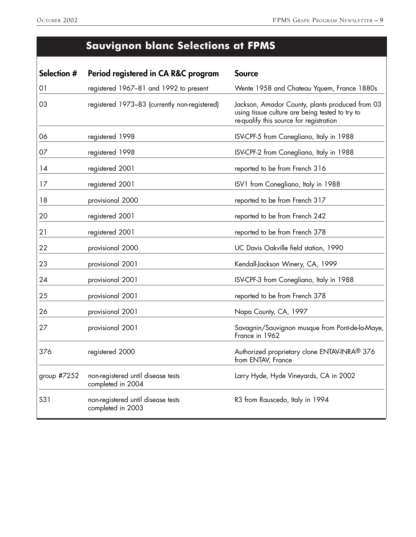# **Sauvignon blanc Selections at FPMS**

| Selection # | Period registered in CA R&C program                     | <b>Source</b>                                                                                                                                 |
|-------------|---------------------------------------------------------|-----------------------------------------------------------------------------------------------------------------------------------------------|
| 01          | registered 1967-81 and 1992 to present                  | Wente 1958 and Chateau Yquem, France 1880s                                                                                                    |
| 03          | registered 1973-83 (currently non-registered)           | Jackson, Amador County, plants produced from 03<br>using tissue culture are being tested to try to<br>re-qualify this source for registration |
| 06          | registered 1998                                         | ISV-CPF-5 from Conegliano, Italy in 1988                                                                                                      |
| 07          | registered 1998                                         | ISV-CPF-2 from Conegliano, Italy in 1988                                                                                                      |
| 14          | registered 2001                                         | reported to be from French 316                                                                                                                |
| 17          | registered 2001                                         | ISV1 from Conegliano, Italy in 1988                                                                                                           |
| 18          | provisional 2000                                        | reported to be from French 317                                                                                                                |
| 20          | registered 2001                                         | reported to be from French 242                                                                                                                |
| 21          | registered 2001                                         | reported to be from French 378                                                                                                                |
| 22          | provisional 2000                                        | UC Davis Oakville field station, 1990                                                                                                         |
| 23          | provisional 2001                                        | Kendall-Jackson Winery, CA, 1999                                                                                                              |
| 24          | provisional 2001                                        | ISV-CPF-3 from Conegliano, Italy in 1988                                                                                                      |
| 25          | provisional 2001                                        | reported to be from French 378                                                                                                                |
| 26          | provisional 2001                                        | Napa County, CA, 1997                                                                                                                         |
| 27          | provisional 2001                                        | Savagnin/Sauvignon musque from Pont-de-la-Maye,<br>France in 1962                                                                             |
| 376         | registered 2000                                         | Authorized proprietary clone ENTAV-INRA® 376<br>from ENTAV, France                                                                            |
| group #7252 | non-registered until disease tests<br>completed in 2004 | Larry Hyde, Hyde Vineyards, CA in 2002                                                                                                        |
| S31         | non-registered until disease tests<br>completed in 2003 | R3 from Rauscedo, Italy in 1994                                                                                                               |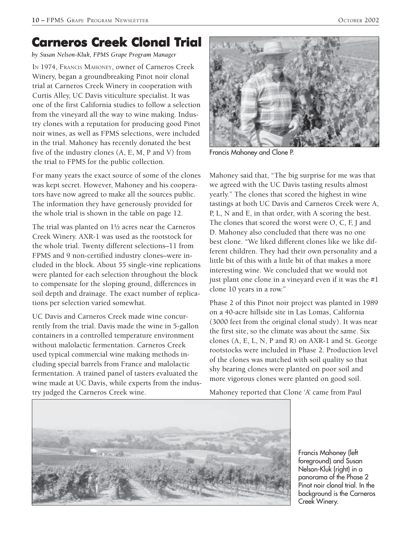# **Carneros Creek Clonal Trial**

*by Susan Nelson-Kluk, FPMS Grape Program Manager*

IN 1974, FRANCIS MAHONEY, owner of Carneros Creek Winery, began a groundbreaking Pinot noir clonal trial at Carneros Creek Winery in cooperation with Curtis Alley, UC Davis viticulture specialist. It was one of the first California studies to follow a selection from the vineyard all the way to wine making. Industry clones with a reputation for producing good Pinot noir wines, as well as FPMS selections, were included in the trial. Mahoney has recently donated the best five of the industry clones (A, E, M, P and V) from the trial to FPMS for the public collection.

For many years the exact source of some of the clones was kept secret. However, Mahoney and his cooperators have now agreed to make all the sources public. The information they have generously provided for the whole trial is shown in the table on page 12.

The trial was planted on 1½ acres near the Carneros Creek Winery. AXR-1 was used as the rootstock for the whole trial. Twenty different selections–11 from FPMS and 9 non-certified industry clones–were included in the block. About 55 single-vine replications were planted for each selection throughout the block to compensate for the sloping ground, differences in soil depth and drainage. The exact number of replications per selection varied somewhat.

UC Davis and Carneros Creek made wine concurrently from the trial. Davis made the wine in 5-gallon containers in a controlled temperature environment without malolactic fermentation. Carneros Creek used typical commercial wine making methods including special barrels from France and malolactic fermentation. A trained panel of tasters evaluated the wine made at UC Davis, while experts from the industry judged the Carneros Creek wine.



Francis Mahoney and Clone P.

Mahoney said that, "The big surprise for me was that we agreed with the UC Davis tasting results almost yearly." The clones that scored the highest in wine tastings at both UC Davis and Carneros Creek were A, P, L, N and E, in that order, with A scoring the best. The clones that scored the worst were O, C, F, J and D. Mahoney also concluded that there was no one best clone. "We liked different clones like we like different children. They had their own personality and a little bit of this with a little bit of that makes a more interesting wine. We concluded that we would not just plant one clone in a vineyard even if it was the #1 clone 10 years in a row."

Phase 2 of this Pinot noir project was planted in 1989 on a 40-acre hillside site in Las Lomas, California (3000 feet from the original clonal study). It was near the first site, so the climate was about the same. Six clones (A, E, L, N, P and R) on AXR-1 and St. George rootstocks were included in Phase 2. Production level of the clones was matched with soil quality so that shy bearing clones were planted on poor soil and more vigorous clones were planted on good soil.

Mahoney reported that Clone 'A' came from Paul



Francis Mahoney (left foreground) and Susan Nelson-Kluk (right) in a panorama of the Phase 2 Pinot noir clonal trial. In the background is the Carneros Creek Winery.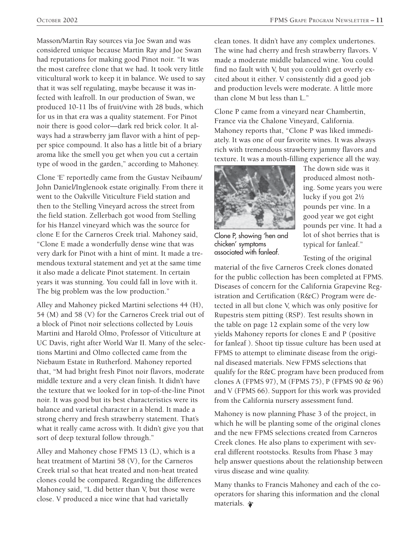Masson/Martin Ray sources via Joe Swan and was considered unique because Martin Ray and Joe Swan had reputations for making good Pinot noir. "It was the most carefree clone that we had. It took very little viticultural work to keep it in balance. We used to say that it was self regulating, maybe because it was infected with leafroll. In our production of Swan, we produced 10-11 lbs of fruit/vine with 28 buds, which for us in that era was a quality statement. For Pinot noir there is good color—dark red brick color. It always had a strawberry jam flavor with a hint of pepper spice compound. It also has a little bit of a briary aroma like the smell you get when you cut a certain type of wood in the garden," according to Mahoney.

Clone 'E' reportedly came from the Gustav Neibaum/ John Daniel/Inglenook estate originally. From there it went to the Oakville Viticulture Field station and then to the Stelling Vineyard across the street from the field station. Zellerbach got wood from Stelling for his Hanzel vineyard which was the source for clone E for the Carneros Creek trial. Mahoney said, "Clone E made a wonderfully dense wine that was very dark for Pinot with a hint of mint. It made a tremendous textural statement and yet at the same time it also made a delicate Pinot statement. In certain years it was stunning. You could fall in love with it. The big problem was the low production."

Alley and Mahoney picked Martini selections 44 (H), 54 (M) and 58 (V) for the Carneros Creek trial out of a block of Pinot noir selections collected by Louis Martini and Harold Olmo, Professor of Viticulture at UC Davis, right after World War II. Many of the selections Martini and Olmo collected came from the Niebaum Estate in Rutherford. Mahoney reported that, "M had bright fresh Pinot noir flavors, moderate middle texture and a very clean finish. It didn't have the texture that we looked for in top-of-the-line Pinot noir. It was good but its best characteristics were its balance and varietal character in a blend. It made a strong cherry and fresh strawberry statement. That's what it really came across with. It didn't give you that sort of deep textural follow through."

Alley and Mahoney chose FPMS 13 (L), which is a heat treatment of Martini 58 (V), for the Carneros Creek trial so that heat treated and non-heat treated clones could be compared. Regarding the differences Mahoney said, "L did better than V, but those were close. V produced a nice wine that had varietally

clean tones. It didn't have any complex undertones. The wine had cherry and fresh strawberry flavors. V made a moderate middle balanced wine. You could find no fault with V, but you couldn't get overly excited about it either. V consistently did a good job and production levels were moderate. A little more than clone M but less than L."

Clone P came from a vineyard near Chambertin, France via the Chalone Vineyard, California. Mahoney reports that, "Clone P was liked immediately. It was one of our favorite wines. It was always rich with tremendous strawberry jammy flavors and texture. It was a mouth-filling experience all the way.



The down side was it produced almost nothing. Some years you were lucky if you got 2½ pounds per vine. In a good year we got eight pounds per vine. It had a lot of shot berries that is typical for fanleaf."

Clone P, showing 'hen and chicken' symptoms associated with fanleaf.

Testing of the original

material of the five Carneros Creek clones donated for the public collection has been completed at FPMS. Diseases of concern for the California Grapevine Registration and Certification (R&C) Program were detected in all but clone V, which was only positive for Rupestris stem pitting (RSP). Test results shown in the table on page 12 explain some of the very low yields Mahoney reports for clones E and P (positive for fanleaf ). Shoot tip tissue culture has been used at FPMS to attempt to eliminate disease from the original diseased materials. New FPMS selections that qualify for the R&C program have been produced from clones A (FPMS 97), M (FPMS 75), P (FPMS 90 & 96) and V (FPMS 66). Support for this work was provided from the California nursery assessment fund.

Mahoney is now planning Phase 3 of the project, in which he will be planting some of the original clones and the new FPMS selections created from Carneros Creek clones. He also plans to experiment with several different rootstocks. Results from Phase 3 may help answer questions about the relationship between virus disease and wine quality.

Many thanks to Francis Mahoney and each of the cooperators for sharing this information and the clonal materials.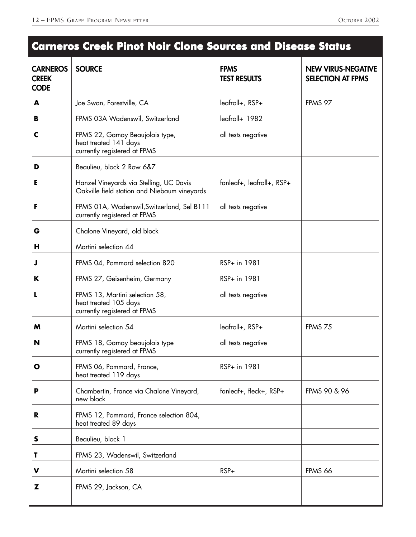# **CARNEROS SOURCE THE SOURCE SOURCE SOURCE AND SOURCE SOURCE SOURCE SOURCE SOURCE SOURCE SOURCE SOURCE SOURCE SOURCE SOURCE SOURCE SOURCE SOURCE SOURCE SOURCE SOURCE SOURCE SOURCE SOURCE SOURCE SOURCE SOURCE SOURCE SOURCE S CREEK TEST RESULTS SELECTION AT FPMS CODE A** Joe Swan, Forestville, CA | leafroll+, RSP+ | FPMS 97 **B** FPMS 03A Wadenswil, Switzerland leafroll+ 1982 **C** FPMS 22, Gamay Beaujolais type, all tests negative heat treated 141 days currently registered at FPMS **D** Beaulieu, block 2 Row 6&7 **E** Hanzel Vineyards via Stelling, UC Davis | fanleaf+, leafroll+, RSP+ Oakville field station and Niebaum vineyards **F** FPMS 01A, Wadenswil, Switzerland, Sel B111 all tests negative currently registered at FPMS **G** Chalone Vineyard, old block **H** Martini selection 44 **J** FPMS 04, Pommard selection 820 RSP+ in 1981 **K** FPMS 27, Geisenheim, Germany RSP+ in 1981 **L** FPMS 13, Martini selection 58, all tests negative heat treated 105 days currently registered at FPMS **M** Martini selection 54 leafroll+, RSP+ FPMS 75 **N** FPMS 18, Gamay beaujolais type all tests negative currently registered at FPMS **O** FPMS 06, Pommard, France, RSP+ in 1981 heat treated 119 days **P** Chambertin, France via Chalone Vineyard,  $\vert$  fanleaf+, fleck+, RSP+  $\vert$  FPMS 90 & 96 new block **R** FPMS 12, Pommard, France selection 804, heat treated 89 days **S** Beaulieu, block 1 **T** FPMS 23, Wadenswil, Switzerland **V** Martini selection 58 RSP+ RSP+ FPMS 66 **Z** FPMS 29, Jackson, CA **Carneros Creek Pinot Noir Clone Sources and Disease Status Carneros Creek Pinot Clone Sources Status**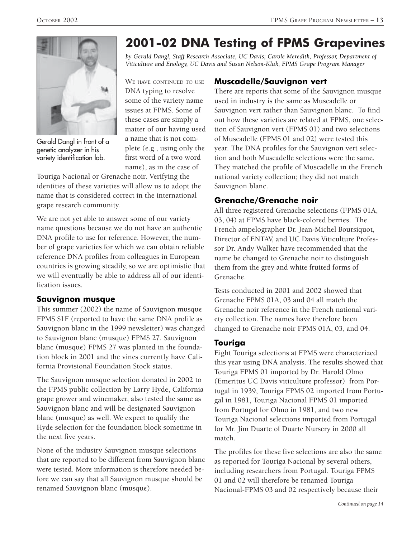

Gerald Dangl in front of a genetic analyzer in his variety identification lab.

WE HAVE CONTINUED TO USE DNA typing to resolve some of the variety name issues at FPMS. Some of these cases are simply a matter of our having used a name that is not complete (e.g., using only the first word of a two word name), as in the case of

Touriga Nacional or Grenache noir. Verifying the identities of these varieties will allow us to adopt the name that is considered correct in the international grape research community.

We are not yet able to answer some of our variety name questions because we do not have an authentic DNA profile to use for reference. However, the number of grape varieties for which we can obtain reliable reference DNA profiles from colleagues in European countries is growing steadily, so we are optimistic that we will eventually be able to address all of our identification issues.

### **Sauvignon musque**

This summer (2002) the name of Sauvignon musque FPMS S1F (reported to have the same DNA profile as Sauvignon blanc in the 1999 newsletter) was changed to Sauvignon blanc (musque) FPMS 27. Sauvignon blanc (musque) FPMS 27 was planted in the foundation block in 2001 and the vines currently have California Provisional Foundation Stock status.

The Sauvignon musque selection donated in 2002 to the FPMS public collection by Larry Hyde, California grape grower and winemaker, also tested the same as Sauvignon blanc and will be designated Sauvignon blanc (musque) as well. We expect to qualify the Hyde selection for the foundation block sometime in the next five years.

None of the industry Sauvignon musque selections that are reported to be different from Sauvignon blanc were tested. More information is therefore needed before we can say that all Sauvignon musque should be renamed Sauvignon blanc (musque).

# **2001-02 DNA Testing of FPMS Grapevines**

*by Gerald Dangl, Staff Research Associate, UC Davis; Carole Meredith, Professor, Department of Viticulture and Enology, UC Davis and Susan Nelson-Kluk, FPMS Grape Program Manager*

**Muscadelle/Sauvignon vert**

There are reports that some of the Sauvignon musque used in industry is the same as Muscadelle or Sauvignon vert rather than Sauvignon blanc. To find out how these varieties are related at FPMS, one selection of Sauvignon vert (FPMS 01) and two selections of Muscadelle (FPMS 01 and 02) were tested this year. The DNA profiles for the Sauvignon vert selection and both Muscadelle selections were the same. They matched the profile of Muscadelle in the French national variety collection; they did not match Sauvignon blanc.

### **Grenache/Grenache noir**

All three registered Grenache selections (FPMS 01A, 03, 04) at FPMS have black-colored berries. The French ampelographer Dr. Jean-Michel Boursiquot, Director of ENTAV, and UC Davis Viticulture Professor Dr. Andy Walker have recommended that the name be changed to Grenache noir to distinguish them from the grey and white fruited forms of Grenache.

Tests conducted in 2001 and 2002 showed that Grenache FPMS 01A, 03 and 04 all match the Grenache noir reference in the French national variety collection. The names have therefore been changed to Grenache noir FPMS 01A, 03, and 04.

### **Touriga**

Eight Touriga selections at FPMS were characterized this year using DNA analysis. The results showed that Touriga FPMS 01 imported by Dr. Harold Olmo (Emeritus UC Davis viticulture professor) from Portugal in 1939, Touriga FPMS 02 imported from Portugal in 1981, Touriga Nacional FPMS 01 imported from Portugal for Olmo in 1981, and two new Touriga Nacional selections imported from Portugal for Mr. Jim Duarte of Duarte Nursery in 2000 all match.

The profiles for these five selections are also the same as reported for Touriga Nacional by several others, including researchers from Portugal. Touriga FPMS 01 and 02 will therefore be renamed Touriga Nacional-FPMS 03 and 02 respectively because their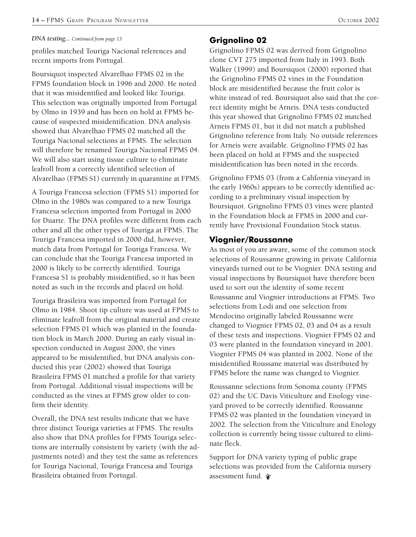#### *DNA testing... Continued from page 13*

profiles matched Touriga Nacional references and recent imports from Portugal.

Boursiquot inspected Alvarelhao FPMS 02 in the FPMS foundation block in 1996 and 2000. He noted that it was misidentified and looked like Touriga. This selection was originally imported from Portugal by Olmo in 1939 and has been on hold at FPMS because of suspected misidentification. DNA analysis showed that Alvarelhao FPMS 02 matched all the Touriga Nacional selections at FPMS. The selection will therefore be renamed Touriga Nacional FPMS 04. We will also start using tissue culture to eliminate leafroll from a correctly identified selection of Alvarelhao (FPMS S1) currently in quarantine at FPMS.

A Touriga Francesa selection (FPMS S1) imported for Olmo in the 1980s was compared to a new Touriga Francesa selection imported from Portugal in 2000 for Duarte. The DNA profiles were different from each other and all the other types of Touriga at FPMS. The Touriga Francesa imported in 2000 did, however, match data from Portugal for Touriga Francesa. We can conclude that the Touriga Francesa imported in 2000 is likely to be correctly identified. Touriga Francesa S1 is probably misidentified, so it has been noted as such in the records and placed on hold.

Touriga Brasileira was imported from Portugal for Olmo in 1984. Shoot tip culture was used at FPMS to eliminate leafroll from the original material and create selection FPMS 01 which was planted in the foundation block in March 2000. During an early visual inspection conducted in August 2000, the vines appeared to be misidentified, but DNA analysis conducted this year (2002) showed that Touriga Brasileira FPMS 01 matched a profile for that variety from Portugal. Additional visual inspections will be conducted as the vines at FPMS grow older to confirm their identity.

Overall, the DNA test results indicate that we have three distinct Touriga varieties at FPMS. The results also show that DNA profiles for FPMS Touriga selections are internally consistent by variety (with the adjustments noted) and they test the same as references for Touriga Nacional, Touriga Francesa and Touriga Brasileira obtained from Portugal.

#### **Grignolino 02**

Grignolino FPMS 02 was derived from Grignolino clone CVT 275 imported from Italy in 1993. Both Walker (1999) and Boursiquot (2000) reported that the Grignolino FPMS 02 vines in the Foundation block are misidentified because the fruit color is white instead of red. Boursiquot also said that the correct identity might be Arneis. DNA tests conducted this year showed that Grignolino FPMS 02 matched Arneis FPMS 01, but it did not match a published Grignolino reference from Italy. No outside references for Arneis were available. Grignolino FPMS 02 has been placed on hold at FPMS and the suspected misidentification has been noted in the records.

Grignolino FPMS 03 (from a California vineyard in the early 1960s) appears to be correctly identified according to a preliminary visual inspection by Boursiquot. Grignolino FPMS 03 vines were planted in the Foundation block at FPMS in 2000 and currently have Provisional Foundation Stock status.

#### **Viognier/Roussanne**

As most of you are aware, some of the common stock selections of Roussanne growing in private California vineyards turned out to be Viognier. DNA testing and visual inspections by Boursiquot have therefore been used to sort out the identity of some recent Roussanne and Viognier introductions at FPMS. Two selections from Lodi and one selection from Mendocino originally labeled Roussanne were changed to Viognier FPMS 02, 03 and 04 as a result of these tests and inspections. Viognier FPMS 02 and 03 were planted in the foundation vineyard in 2001. Viognier FPMS 04 was planted in 2002. None of the misidentified Roussane material was distributed by FPMS before the name was changed to Viognier.

Roussanne selections from Sonoma county (FPMS 02) and the UC Davis Viticulture and Enology vineyard proved to be correctly identified. Roussanne FPMS 02 was planted in the foundation vineyard in 2002. The selection from the Viticulture and Enology collection is currently being tissue cultured to eliminate fleck.

Support for DNA variety typing of public grape selections was provided from the California nursery assessment fund.  $\hat{\boldsymbol{\psi}}$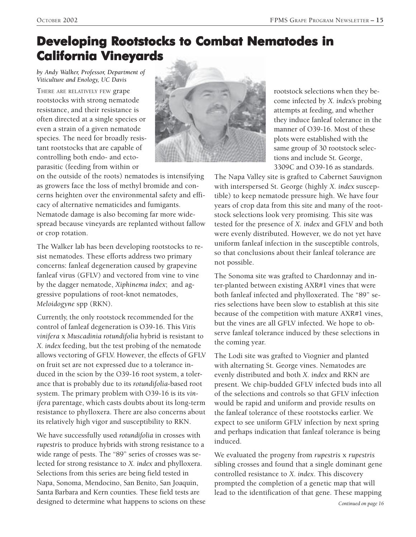# **Developing Rootstocks to Combat Nematodes in California Vineyards California Vineyards**

*by Andy Walker, Professor, Department of Viticulture and Enology, UC Davis*

THERE ARE RELATIVELY FEW grape rootstocks with strong nematode resistance, and their resistance is often directed at a single species or even a strain of a given nematode species. The need for broadly resistant rootstocks that are capable of controlling both endo- and ectoparasitic (feeding from within or



on the outside of the roots) nematodes is intensifying as growers face the loss of methyl bromide and concerns heighten over the environmental safety and efficacy of alternative nematicides and fumigants. Nematode damage is also becoming far more widespread because vineyards are replanted without fallow or crop rotation.

The Walker lab has been developing rootstocks to resist nematodes. These efforts address two primary concerns: fanleaf degeneration caused by grapevine fanleaf virus (GFLV) and vectored from vine to vine by the dagger nematode, *Xiphinema index*; and aggressive populations of root-knot nematodes, *Meloidogyne* spp (RKN).

Currently, the only rootstock recommended for the control of fanleaf degeneration is O39-16. This *Vitis vinifera* x *Muscadinia rotundifolia* hybrid is resistant to *X. index* feeding, but the test probing of the nematode allows vectoring of GFLV. However, the effects of GFLV on fruit set are not expressed due to a tolerance induced in the scion by the O39-16 root system, a tolerance that is probably due to its *rotundifolia*-based root system. The primary problem with O39-16 is its *vinifera* parentage, which casts doubts about its long-term resistance to phylloxera. There are also concerns about its relatively high vigor and susceptibility to RKN.

We have successfully used *rotundifolia* in crosses with *rupestris* to produce hybrids with strong resistance to a wide range of pests. The "89" series of crosses was selected for strong resistance to *X. index* and phylloxera. Selections from this series are being field tested in Napa, Sonoma, Mendocino, San Benito, San Joaquin, Santa Barbara and Kern counties. These field tests are designed to determine what happens to scions on these rootstock selections when they become infected by *X. index*'s probing attempts at feeding, and whether they induce fanleaf tolerance in the manner of O39-16. Most of these plots were established with the same group of 30 rootstock selections and include St. George, 3309C and O39-16 as standards.

The Napa Valley site is grafted to Cabernet Sauvignon with interspersed St. George (highly *X. index* susceptible) to keep nematode pressure high. We have four years of crop data from this site and many of the rootstock selections look very promising. This site was tested for the presence of *X. index* and GFLV and both were evenly distributed. However, we do not yet have uniform fanleaf infection in the susceptible controls, so that conclusions about their fanleaf tolerance are not possible.

The Sonoma site was grafted to Chardonnay and inter-planted between existing AXR#1 vines that were both fanleaf infected and phylloxerated. The "89" series selections have been slow to establish at this site because of the competition with mature AXR#1 vines, but the vines are all GFLV infected. We hope to observe fanleaf tolerance induced by these selections in the coming year.

The Lodi site was grafted to Viognier and planted with alternating St. George vines. Nematodes are evenly distributed and both *X. index* and RKN are present. We chip-budded GFLV infected buds into all of the selections and controls so that GFLV infection would be rapid and uniform and provide results on the fanleaf tolerance of these rootstocks earlier. We expect to see uniform GFLV infection by next spring and perhaps indication that fanleaf tolerance is being induced.

We evaluated the progeny from *rupestris* x *rupestris* sibling crosses and found that a single dominant gene controlled resistance to *X. index*. This discovery prompted the completion of a genetic map that will lead to the identification of that gene. These mapping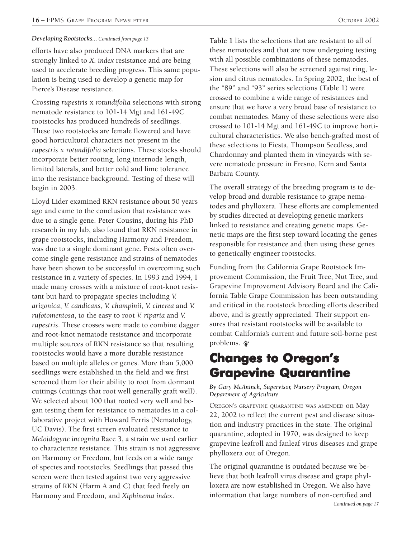#### *Developing Rootstocks... Continued from page 15*

efforts have also produced DNA markers that are strongly linked to *X. index* resistance and are being used to accelerate breeding progress. This same population is being used to develop a genetic map for Pierce's Disease resistance.

Crossing *rupestris* x *rotundifolia* selections with strong nematode resistance to 101-14 Mgt and 161-49C rootstocks has produced hundreds of seedlings. These two rootstocks are female flowered and have good horticultural characters not present in the *rupestris* x *rotundifolia* selections. These stocks should incorporate better rooting, long internode length, limited laterals, and better cold and lime tolerance into the resistance background. Testing of these will begin in 2003.

Lloyd Lider examined RKN resistance about 50 years ago and came to the conclusion that resistance was due to a single gene. Peter Cousins, during his PhD research in my lab, also found that RKN resistance in grape rootstocks, including Harmony and Freedom, was due to a single dominant gene. Pests often overcome single gene resistance and strains of nematodes have been shown to be successful in overcoming such resistance in a variety of species. In 1993 and 1994, I made many crosses with a mixture of root-knot resistant but hard to propagate species including *V. arizonica*, *V. candicans*, *V. champinii*, *V. cinerea* and *V. rufotomentosa*, to the easy to root *V. riparia* and *V. rupestris*. These crosses were made to combine dagger and root-knot nematode resistance and incorporate multiple sources of RKN resistance so that resulting rootstocks would have a more durable resistance based on multiple alleles or genes. More than 5,000 seedlings were established in the field and we first screened them for their ability to root from dormant cuttings (cuttings that root well generally graft well). We selected about 100 that rooted very well and began testing them for resistance to nematodes in a collaborative project with Howard Ferris (Nematology, UC Davis). The first screen evaluated resistance to *Meloidogyne incognita* Race 3, a strain we used earlier to characterize resistance. This strain is not aggressive on Harmony or Freedom, but feeds on a wide range of species and rootstocks. Seedlings that passed this screen were then tested against two very aggressive strains of RKN (Harm A and C) that feed freely on Harmony and Freedom, and *Xiphinema index*.

**Table 1** lists the selections that are resistant to all of these nematodes and that are now undergoing testing with all possible combinations of these nematodes. These selections will also be screened against ring, lesion and citrus nematodes. In Spring 2002, the best of the "89" and "93" series selections (Table 1) were crossed to combine a wide range of resistances and ensure that we have a very broad base of resistance to combat nematodes. Many of these selections were also crossed to 101-14 Mgt and 161-49C to improve horticultural characteristics. We also bench-grafted most of these selections to Fiesta, Thompson Seedless, and Chardonnay and planted them in vineyards with severe nematode pressure in Fresno, Kern and Santa Barbara County.

The overall strategy of the breeding program is to develop broad and durable resistance to grape nematodes and phylloxera. These efforts are complemented by studies directed at developing genetic markers linked to resistance and creating genetic maps. Genetic maps are the first step toward locating the genes responsible for resistance and then using these genes to genetically engineer rootstocks.

Funding from the California Grape Rootstock Improvement Commission, the Fruit Tree, Nut Tree, and Grapevine Improvement Advisory Board and the California Table Grape Commission has been outstanding and critical in the rootstock breeding efforts described above, and is greatly appreciated. Their support ensures that resistant rootstocks will be available to combat California's current and future soil-borne pest problems.

# **Changes to Oregonís Grapevine Quarantine**

#### *By Gary McAninch, Supervisor, Nursery Program, Oregon Department of Agriculture*

OREGON'S GRAPEVINE QUARANTINE WAS AMENDED on May 22, 2002 to reflect the current pest and disease situation and industry practices in the state. The original quarantine, adopted in 1970, was designed to keep grapevine leafroll and fanleaf virus diseases and grape phylloxera out of Oregon.

The original quarantine is outdated because we believe that both leafroll virus disease and grape phylloxera are now established in Oregon. We also have information that large numbers of non-certified and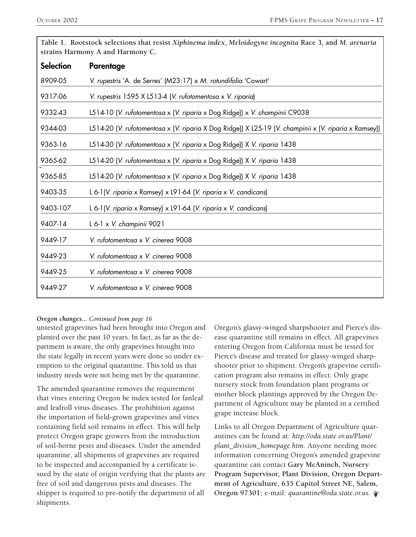| $\cdots$ $\cdots$ $\cdots$ , $\cdots$ $\cdots$ $\cdots$ $\cdots$ $\cdots$ $\cdots$ $\cdots$<br>strains Harmony A and Harmony C. |                                                                                                       |  |  |
|---------------------------------------------------------------------------------------------------------------------------------|-------------------------------------------------------------------------------------------------------|--|--|
| <b>Selection</b>                                                                                                                | Parentage                                                                                             |  |  |
| 8909-05                                                                                                                         | V. rupestris 'A. de Serres' (M23:17) x M. rotundifolia 'Cowart'                                       |  |  |
| 9317-06                                                                                                                         | V. rupestris 1595 X L513-4 (V. rufotomentosa x V. riparia)                                            |  |  |
| 9332-43                                                                                                                         | L514-10 (V. rufotomentosa x (V. riparia x Dog Ridge)) x V. champinii C9038                            |  |  |
| 9344-03                                                                                                                         | L514-20 (V. rufotomentosa x (V. riparia X Dog Ridge)) X L25-19 (V. champinii x (V. riparia x Ramsey)) |  |  |
| 9363-16                                                                                                                         | L514-30 (V. rufotomentosa x (V. riparia x Dog Ridge)) X V. riparia 1438                               |  |  |
| 9365-62                                                                                                                         | L514-20 (V. rufotomentosa x (V. riparia x Dog Ridge)) X V. riparia 1438                               |  |  |
| 9365-85                                                                                                                         | L514-20 (V. rufotomentosa x (V. riparia x Dog Ridge)) X V. riparia 1438                               |  |  |
| 9403-35                                                                                                                         | L 6-1(V. riparia x Ramsey) x L91-64 (V. riparia x V. candicans)                                       |  |  |
| 9403-107                                                                                                                        | L 6-1(V. riparia x Ramsey) x L91-64 (V. riparia x V. candicans)                                       |  |  |
| 9407-14                                                                                                                         | L 6-1 x V. champinii 9021                                                                             |  |  |
| 9449-17                                                                                                                         | V. rufotomentosa x V. cinerea 9008                                                                    |  |  |
| 9449-23                                                                                                                         | V. rufotomentosa x V. cinerea 9008                                                                    |  |  |
| 9449-25                                                                                                                         | V. rufotomentosa x V. cinerea 9008                                                                    |  |  |
| 9449-27                                                                                                                         | V. rufotomentosa x V. cinerea 9008                                                                    |  |  |

**Table 1. Rootstock selections that resist** *Xiphinema index***,** *Meloidogyne incognita* **Race 3***,* **and** *M. arenaria*

#### *Oregon changes... Continued from page 16*

untested grapevines had been brought into Oregon and planted over the past 10 years. In fact, as far as the department is aware, the only grapevines brought into the state legally in recent years were done so under exemption to the original quarantine. This told us that industry needs were not being met by the quarantine.

The amended quarantine removes the requirement that vines entering Oregon be index tested for fanleaf and leafroll virus diseases. The prohibition against the importation of field-grown grapevines and vines containing field soil remains in effect. This will help protect Oregon grape growers from the introduction of soil-borne pests and diseases. Under the amended quarantine, all shipments of grapevines are required to be inspected and accompanied by a certificate issued by the state of origin verifying that the plants are free of soil and dangerous pests and diseases. The shipper is required to pre-notify the department of all shipments.

Oregon's glassy-winged sharpshooter and Pierce's disease quarantine still remains in effect. All grapevines entering Oregon from California must be tested for Pierce's disease and treated for glassy-winged sharpshooter prior to shipment. Oregon's grapevine certification program also remains in effect. Only grape nursery stock from foundation plant programs or mother block plantings approved by the Oregon Department of Agriculture may be planted in a certified grape increase block.

Links to all Oregon Department of Agriculture quarantines can be found at: *http://oda.state.or.us/Plant/ plant\_division\_homepage.htm.* Anyone needing more information concerning Oregon's amended grapevine quarantine can contact **Gary McAninch, Nursery Program Supervisor, Plant Division, Oregon Department of Agriculture, 635 Capitol Street NE, Salem, Oregon 97301**; e-mail: *quarantine@oda.state.or.us.*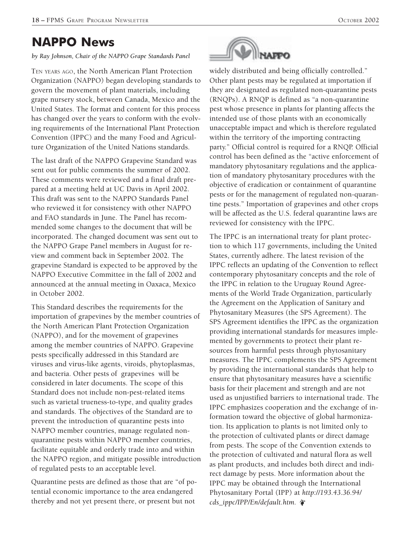# **NAPPO News**

#### *by Ray Johnson, Chair of the NAPPO Grape Standards Panel*

TEN YEARS AGO, the North American Plant Protection Organization (NAPPO) began developing standards to govern the movement of plant materials, including grape nursery stock, between Canada, Mexico and the United States. The format and content for this process has changed over the years to conform with the evolving requirements of the International Plant Protection Convention (IPPC) and the many Food and Agriculture Organization of the United Nations standards.

The last draft of the NAPPO Grapevine Standard was sent out for public comments the summer of 2002. These comments were reviewed and a final draft prepared at a meeting held at UC Davis in April 2002. This draft was sent to the NAPPO Standards Panel who reviewed it for consistency with other NAPPO and FAO standards in June. The Panel has recommended some changes to the document that will be incorporated. The changed document was sent out to the NAPPO Grape Panel members in August for review and comment back in September 2002. The grapevine Standard is expected to be approved by the NAPPO Executive Committee in the fall of 2002 and announced at the annual meeting in Oaxaca, Mexico in October 2002.

This Standard describes the requirements for the importation of grapevines by the member countries of the North American Plant Protection Organization (NAPPO), and for the movement of grapevines among the member countries of NAPPO. Grapevine pests specifically addressed in this Standard are viruses and virus-like agents, viroids, phytoplasmas, and bacteria. Other pests of grapevines will be considered in later documents. The scope of this Standard does not include non-pest-related items such as varietal trueness-to-type, and quality grades and standards. The objectives of the Standard are to prevent the introduction of quarantine pests into NAPPO member countries, manage regulated nonquarantine pests within NAPPO member countries, facilitate equitable and orderly trade into and within the NAPPO region, and mitigate possible introduction of regulated pests to an acceptable level.

Quarantine pests are defined as those that are "of potential economic importance to the area endangered thereby and not yet present there, or present but not



widely distributed and being officially controlled." Other plant pests may be regulated at importation if they are designated as regulated non-quarantine pests (RNQPs). A RNQP is defined as "a non-quarantine pest whose presence in plants for planting affects the intended use of those plants with an economically unacceptable impact and which is therefore regulated within the territory of the importing contracting party." Official control is required for a RNQP. Official control has been defined as the "active enforcement of mandatory phytosanitary regulations and the application of mandatory phytosanitary procedures with the objective of eradication or containment of quarantine pests or for the management of regulated non-quarantine pests." Importation of grapevines and other crops will be affected as the U.S. federal quarantine laws are reviewed for consistency with the IPPC.

The IPPC is an international treaty for plant protection to which 117 governments, including the United States, currently adhere. The latest revision of the IPPC reflects an updating of the Convention to reflect contemporary phytosanitary concepts and the role of the IPPC in relation to the Uruguay Round Agreements of the World Trade Organization, particularly the Agreement on the Application of Sanitary and Phytosanitary Measures (the SPS Agreement). The SPS Agreement identifies the IPPC as the organization providing international standards for measures implemented by governments to protect their plant resources from harmful pests through phytosanitary measures. The IPPC complements the SPS Agreement by providing the international standards that help to ensure that phytosanitary measures have a scientific basis for their placement and strength and are not used as unjustified barriers to international trade. The IPPC emphasizes cooperation and the exchange of information toward the objective of global harmonization. Its application to plants is not limited only to the protection of cultivated plants or direct damage from pests. The scope of the Convention extends to the protection of cultivated and natural flora as well as plant products, and includes both direct and indirect damage by pests. More information about the IPPC may be obtained through the International Phytosanitary Portal (IPP) at *http://193.43.36.94/ cds\_ippc/IPP/En/default.htm.*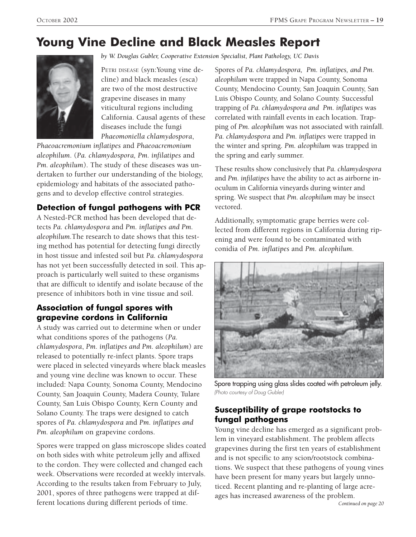# **Young Vine Decline and Black Measles Report**



*by W. Douglas Gubler, Cooperative Extension Specialist, Plant Pathology, UC Davis*

PETRI DISEASE (syn:Young vine decline) and black measles (esca) are two of the most destructive grapevine diseases in many viticultural regions including California. Causal agents of these diseases include the fungi *Phaeomoniella chlamydospora*,

*Phaeoacremonium inflatipes* and *Phaeoacremonium aleophilum*. (*Pa. chlamydospora, Pm. infilatipes* and *Pm. aleophilum*). The study of these diseases was undertaken to further our understanding of the biology, epidemiology and habitats of the associated pathogens and to develop effective control strategies.

### **Detection of fungal pathogens with PCR**

A Nested-PCR method has been developed that detects *Pa. chlamydospora* and *Pm. inflatipes and Pm. aleophilum.*The research to date shows that this testing method has potential for detecting fungi directly in host tissue and infested soil but *Pa. chlamydospora* has not yet been successfully detected in soil. This approach is particularly well suited to these organisms that are difficult to identify and isolate because of the presence of inhibitors both in vine tissue and soil.

### **Association of fungal spores with grapevine cordons in California**

A study was carried out to determine when or under what conditions spores of the pathogens (*Pa. chlamydospora*, *Pm. inflatipes and Pm. aleophilum*) are released to potentially re-infect plants. Spore traps were placed in selected vineyards where black measles and young vine decline was known to occur. These included: Napa County, Sonoma County, Mendocino County, San Joaquin County, Madera County, Tulare County, San Luis Obispo County, Kern County and Solano County. The traps were designed to catch spores of *Pa. chlamydospora* and *Pm. inflatipes and Pm. aleophilum* on grapevine cordons.

Spores were trapped on glass microscope slides coated on both sides with white petroleum jelly and affixed to the cordon. They were collected and changed each week. Observations were recorded at weekly intervals. According to the results taken from February to July, 2001, spores of three pathogens were trapped at different locations during different periods of time.

Spores of *Pa. chlamydospora, Pm. inflatipes, and Pm. aleophilum* were trapped in Napa County, Sonoma County, Mendocino County, San Joaquin County, San Luis Obispo County, and Solano County. Successful trapping of *Pa. chlamydospora and Pm. inflatipes* was correlated with rainfall events in each location. Trapping of *Pm. aleophilum* was not associated with rainfall. *Pa. chlamydospora* and *Pm. inflatipes* were trapped in the winter and spring. *Pm. aleophilum* was trapped in the spring and early summer.

These results show conclusively that *Pa. chlamydospora* and *Pm. infilatipes* have the ability to act as airborne inoculum in California vineyards during winter and spring. We suspect that *Pm. aleophilum* may be insect vectored.

Additionally, symptomatic grape berries were collected from different regions in California during ripening and were found to be contaminated with conidia of *Pm. inflatipes* and *Pm. aleophilum.*



Spore trapping using glass slides coated with petroleum jelly. (Photo courtesy of Doug Gubler)

### **Susceptibility of grape rootstocks to fungal pathogens**

Young vine decline has emerged as a significant problem in vineyard establishment. The problem affects grapevines during the first ten years of establishment and is not specific to any scion/rootstock combinations. We suspect that these pathogens of young vines have been present for many years but largely unnoticed. Recent planting and re-planting of large acreages has increased awareness of the problem.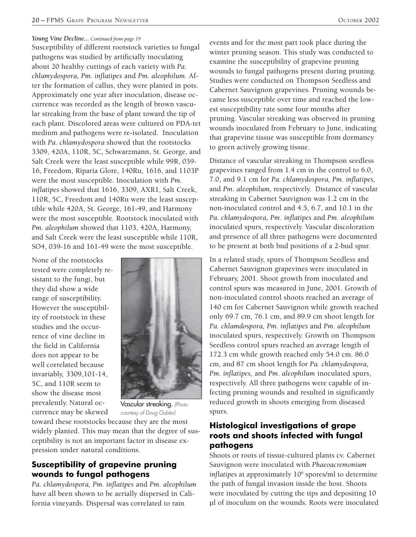#### *Young Vine Decline... Continued from page 19*

Susceptibility of different rootstock varieties to fungal pathogens was studied by artificially inoculating about 20 healthy cuttings of each variety with *Pa. chlamydospora, Pm. inflatipes* and *Pm. aleophilum.* After the formation of callus, they were planted in pots. Approximately one year after inoculation, disease occurrence was recorded as the length of brown vascular streaking from the base of plant toward the tip of each plant. Discolored areas were cultured on PDA-tet medium and pathogens were re-isolated. Inoculation with *Pa. chlamydospora* showed that the rootstocks 3309, 420A, 110R, 5C, Schwarzmann, St. George, and Salt Creek were the least susceptible while 99R, 039- 16, Freedom, Riparia Glore, 140Ru, 1616, and 1103P were the most susceptible. Inoculation with *Pm. inflatipes* showed that 1616, 3309, AXR1, Salt Creek, 110R, 5C, Freedom and 140Ru were the least susceptible while 420A, St. George, 161-49, and Harmony were the most susceptible. Rootstock inoculated with *Pm. aleophilum* showed that 1103, 420A, Harmony, and Salt Creek were the least susceptible while 110R, SO4, 039-16 and 161-49 were the most susceptible.

None of the rootstocks tested were completely resistant to the fungi, but they did show a wide range of susceptibility. However the susceptibility of rootstock in these studies and the occurrence of vine decline in the field in California does not appear to be well correlated because invariably, 3309,101-14, 5C, and 110R seem to show the disease most prevalently. Natural occurrence may be skewed



Vascular streaking. (Photo courtesy of Doug Gubler)

toward these rootstocks because they are the most widely planted. This may mean that the degree of susceptibility is not an important factor in disease expression under natural conditions.

### **Susceptibility of grapevine pruning wounds to fungal pathogens**

*Pa. chlamydospora, Pm. inflatipes* and *Pm. aleophilum* have all been shown to be aerially dispersed in California vineyards. Dispersal was correlated to rain

events and for the most part took place during the winter pruning season. This study was conducted to examine the susceptibility of grapevine pruning wounds to fungal pathogens present during pruning. Studies were conducted on Thompson Seedless and Cabernet Sauvignon grapevines. Pruning wounds became less susceptible over time and reached the lowest susceptibility rate some four months after pruning. Vascular streaking was observed in pruning wounds inoculated from February to June, indicating that grapevine tissue was susceptible from dormancy to green actively growing tissue.

Distance of vascular streaking in Thompson seedless grapevines ranged from 1.4 cm in the control to 6.0, 7.0, and 9.1 cm for *Pa. chlamydospora, Pm. inflatipes,* and *Pm*. *aleophilum,* respectively. Distance of vascular streaking in Cabernet Sauvignon was 1.2 cm in the non-inoculated control and 4.5, 6.7, and 10.1 in the *Pa. chlamydospora, Pm. inflatipes* and *Pm. aleophilum* inoculated spurs, respectively. Vascular discoloration and presence of all three pathogens were documented to be present at both bud positions of a 2-bud spur.

In a related study, spurs of Thompson Seedless and Cabernet Sauvignon grapevines were inoculated in February, 2001. Shoot growth from inoculated and control spurs was measured in June, 2001. Growth of non-inoculated control shoots reached an average of 140 cm for Cabernet Sauvignon while growth reached only 69.7 cm, 76.1 cm, and 89.9 cm shoot length for *Pa. chlamdospora, Pm. inflatipes* and *Pm. aleophilum* inoculated spurs, respectively. Growth on Thompson Seedless control spurs reached an average length of 172.3 cm while growth reached only 54.0 cm. 86.0 cm, and 87 cm shoot length for *Pa. chlamydospora, Pm. inflatipes,* and *Pm. aleophilum* inoculated spurs, respectively. All three pathogens were capable of infecting pruning wounds and resulted in significantly reduced growth in shoots emerging from diseased spurs.

### **Histological investigations of grape roots and shoots infected with fungal pathogens**

Shoots or roots of tissue-cultured plants cv. Cabernet Sauvignon were inoculated with *Phaeoacremonium inflatipes* at approximately 106 spores/ml to determine the path of fungal invasion inside the host. Shoots were inoculated by cutting the tips and depositing 10 µl of inoculum on the wounds. Roots were inoculated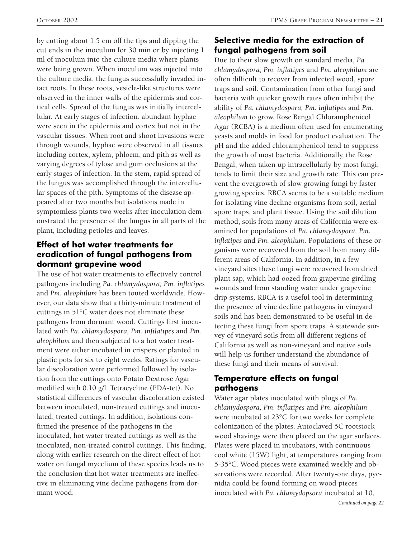by cutting about 1.5 cm off the tips and dipping the cut ends in the inoculum for 30 min or by injecting 1 ml of inoculum into the culture media where plants were being grown. When inoculum was injected into the culture media, the fungus successfully invaded intact roots. In these roots, vesicle-like structures were observed in the inner walls of the epidermis and cortical cells. Spread of the fungus was initially intercellular. At early stages of infection, abundant hyphae were seen in the epidermis and cortex but not in the vascular tissues. When root and shoot invasions were through wounds, hyphae were observed in all tissues including cortex, xylem, phloem, and pith as well as varying degrees of tylose and gum occlusions at the early stages of infection. In the stem, rapid spread of the fungus was accomplished through the intercellular spaces of the pith. Symptoms of the disease appeared after two months but isolations made in symptomless plants two weeks after inoculation demonstrated the presence of the fungus in all parts of the plant, including petioles and leaves.

### **Effect of hot water treatments for eradication of fungal pathogens from dormant grapevine wood**

The use of hot water treatments to effectively control pathogens including *Pa. chlamydospora, Pm. inflatipes* and *Pm. aleophilum* has been touted worldwide. However, our data show that a thirty-minute treatment of cuttings in 51°C water does not eliminate these pathogens from dormant wood. Cuttings first inoculated with *Pa. chlamydospora, Pm. infilatipes* and *Pm. aleophilum* and then subjected to a hot water treatment were either incubated in crispers or planted in plastic pots for six to eight weeks. Ratings for vascular discoloration were performed followed by isolation from the cuttings onto Potato Dextrose Agar modified with 0.10 g/L Tetracycline (PDA-tet). No statistical differences of vascular discoloration existed between inoculated, non-treated cuttings and inoculated, treated cuttings. In addition, isolations confirmed the presence of the pathogens in the inoculated, hot water treated cuttings as well as the inoculated, non-treated control cuttings. This finding, along with earlier research on the direct effect of hot water on fungal mycelium of these species leads us to the conclusion that hot water treatments are ineffective in eliminating vine decline pathogens from dormant wood.

### **Selective media for the extraction of fungal pathogens from soil**

Due to their slow growth on standard media, *Pa. chlamydospora, Pm. inflatipes* and *Pm. aleophilum* are often difficult to recover from infected wood, spore traps and soil. Contamination from other fungi and bacteria with quicker growth rates often inhibit the ability of *Pa. chlamydospora, Pm. inflatipes* and *Pm. aleophilum* to grow. Rose Bengal Chloramphenicol Agar (RCBA) is a medium often used for enumerating yeasts and molds in food for product evaluation. The pH and the added chloramphenicol tend to suppress the growth of most bacteria. Additionally, the Rose Bengal, when taken up intracellularly by most fungi, tends to limit their size and growth rate. This can prevent the overgrowth of slow growing fungi by faster growing species. RBCA seems to be a suitable medium for isolating vine decline organisms from soil, aerial spore traps, and plant tissue. Using the soil dilution method, soils from many areas of California were examined for populations of *Pa. chlamydospora, Pm. inflatipes* and *Pm. aleophilum*. Populations of these organisms were recovered from the soil from many different areas of California. In addition, in a few vineyard sites these fungi were recovered from dried plant sap, which had oozed from grapevine girdling wounds and from standing water under grapevine drip systems. RBCA is a useful tool in determining the presence of vine decline pathogens in vineyard soils and has been demonstrated to be useful in detecting these fungi from spore traps. A statewide survey of vineyard soils from all different regions of California as well as non-vineyard and native soils will help us further understand the abundance of these fungi and their means of survival.

### **Temperature effects on fungal pathogens**

Water agar plates inoculated with plugs of *Pa. chlamydospora, Pm. inflatipes* and *Pm. aleophilum* were incubated at 23°C for two weeks for complete colonization of the plates. Autoclaved 5C rootstock wood shavings were then placed on the agar surfaces. Plates were placed in incubators, with continuous cool white (15W) light, at temperatures ranging from 5-35°C. Wood pieces were examined weekly and observations were recorded. After twenty-one days, pycnidia could be found forming on wood pieces inoculated with *Pa. chlamydopsora* incubated at 10,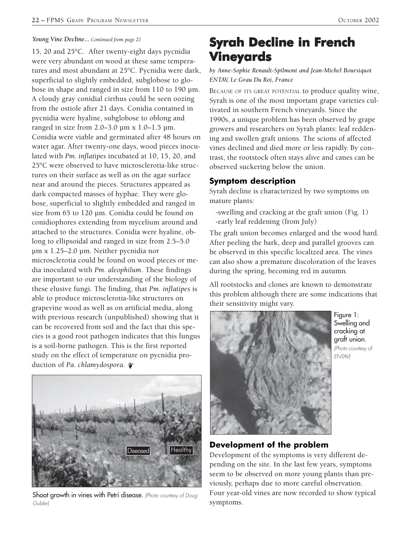#### *Young Vine Decline... Continued from page 21*

15, 20 and 25°C. After twenty-eight days pycnidia were very abundant on wood at these same temperatures and most abundant at 25°C. Pycnidia were dark, superficial to slightly embedded, subglobose to globose in shape and ranged in size from 110 to 190 µm. A cloudy gray conidial cirrhus could be seen oozing from the ostiole after 21 days. Conidia contained in pycnidia were hyaline, subglobose to oblong and ranged in size from 2.0–3.0 µm x 1.0–1.5 µm. Conidia were viable and germinated after 48 hours on water agar. After twenty-one days, wood pieces inoculated with *Pm. inflatipes* incubated at 10, 15, 20, and 25°C were observed to have microsclerotia-like structures on their surface as well as on the agar surface near and around the pieces. Structures appeared as dark compacted masses of hyphae. They were globose, superficial to slightly embedded and ranged in size from 65 to 120 µm. Conidia could be found on conidiophores extending from mycelium around and attached to the structures. Conidia were hyaline, oblong to ellipsoidal and ranged in size from 2.5–5.0 µm x 1.25–2.0 µm. Neither pycnidia nor microsclerotia could be found on wood pieces or media inoculated with *Pm. aleophilum*. These findings are important to our understanding of the biology of these elusive fungi. The finding, that *Pm. inflatipes* is able to produce microsclerotia-like structures on grapevine wood as well as on artificial media, along with previous research (unpublished) showing that it can be recovered from soil and the fact that this species is a good root pathogen indicates that this fungus is a soil-borne pathogen. This is the first reported study on the effect of temperature on pycnidia production of *Pa. chlamydospora.*



Shoot growth in vines with Petri disease. (Photo courtesy of Doug Gubler)

# **Syrah Decline in French Vineyards Vineyards**

*by Anne-Sophie Renault-Spilmont and Jean-Michel Boursiquot ENTAV, Le Grau Du Roi, France*

BECAUSE OF ITS GREAT POTENTIAL to produce quality wine, Syrah is one of the most important grape varieties cultivated in southern French vineyards. Since the 1990s, a unique problem has been observed by grape growers and researchers on Syrah plants: leaf reddening and swollen graft unions. The scions of affected vines declined and died more or less rapidly. By contrast, the rootstock often stays alive and canes can be observed suckering below the union.

#### **Symptom description**

Syrah decline is characterized by two symptoms on mature plants:

 -swelling and cracking at the graft union (Fig. 1) -early leaf reddening (from July)

The graft union becomes enlarged and the wood hard. After peeling the bark, deep and parallel grooves can be observed in this specific localized area. The vines can also show a premature discoloration of the leaves during the spring, becoming red in autumn.

All rootstocks and clones are known to demonstrate this problem although there are some indications that their sensitivity might vary.



Figure 1: Swelling and cracking at graft union. (Photo courtesy of ENTAV)

### **Development of the problem**

Development of the symptoms is very different depending on the site. In the last few years, symptoms seem to be observed on more young plants than previously, perhaps due to more careful observation. Four year-old vines are now recorded to show typical symptoms.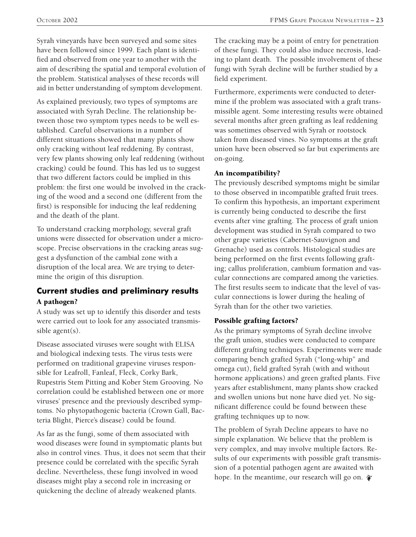Syrah vineyards have been surveyed and some sites have been followed since 1999. Each plant is identified and observed from one year to another with the aim of describing the spatial and temporal evolution of the problem. Statistical analyses of these records will aid in better understanding of symptom development.

As explained previously, two types of symptoms are associated with Syrah Decline. The relationship between those two symptom types needs to be well established. Careful observations in a number of different situations showed that many plants show only cracking without leaf reddening. By contrast, very few plants showing only leaf reddening (without cracking) could be found. This has led us to suggest that two different factors could be implied in this problem: the first one would be involved in the cracking of the wood and a second one (different from the first) is responsible for inducing the leaf reddening and the death of the plant.

To understand cracking morphology, several graft unions were dissected for observation under a microscope. Precise observations in the cracking areas suggest a dysfunction of the cambial zone with a disruption of the local area. We are trying to determine the origin of this disruption.

### **Current studies and preliminary results** A pathogen?

A study was set up to identify this disorder and tests were carried out to look for any associated transmissible agent(s).

Disease associated viruses were sought with ELISA and biological indexing tests. The virus tests were performed on traditional grapevine viruses responsible for Leafroll, Fanleaf, Fleck, Corky Bark, Rupestris Stem Pitting and Kober Stem Grooving. No correlation could be established between one or more viruses' presence and the previously described symptoms. No phytopathogenic bacteria (Crown Gall, Bacteria Blight, Pierce's disease) could be found.

As far as the fungi, some of them associated with wood diseases were found in symptomatic plants but also in control vines. Thus, it does not seem that their presence could be correlated with the specific Syrah decline. Nevertheless, these fungi involved in wood diseases might play a second role in increasing or quickening the decline of already weakened plants.

The cracking may be a point of entry for penetration of these fungi. They could also induce necrosis, leading to plant death. The possible involvement of these fungi with Syrah decline will be further studied by a field experiment.

Furthermore, experiments were conducted to determine if the problem was associated with a graft transmissible agent. Some interesting results were obtained several months after green grafting as leaf reddening was sometimes observed with Syrah or rootstock taken from diseased vines. No symptoms at the graft union have been observed so far but experiments are on-going.

### An incompatibility?

The previously described symptoms might be similar to those observed in incompatible grafted fruit trees. To confirm this hypothesis, an important experiment is currently being conducted to describe the first events after vine grafting. The process of graft union development was studied in Syrah compared to two other grape varieties (Cabernet-Sauvignon and Grenache) used as controls. Histological studies are being performed on the first events following grafting; callus proliferation, cambium formation and vascular connections are compared among the varieties. The first results seem to indicate that the level of vascular connections is lower during the healing of Syrah than for the other two varieties.

### Possible grafting factors?

As the primary symptoms of Syrah decline involve the graft union, studies were conducted to compare different grafting techniques. Experiments were made comparing bench grafted Syrah ("long-whip" and omega cut), field grafted Syrah (with and without hormone applications) and green grafted plants. Five years after establishment, many plants show cracked and swollen unions but none have died yet. No significant difference could be found between these grafting techniques up to now.

The problem of Syrah Decline appears to have no simple explanation. We believe that the problem is very complex, and may involve multiple factors. Results of our experiments with possible graft transmission of a potential pathogen agent are awaited with hope. In the meantime, our research will go on.